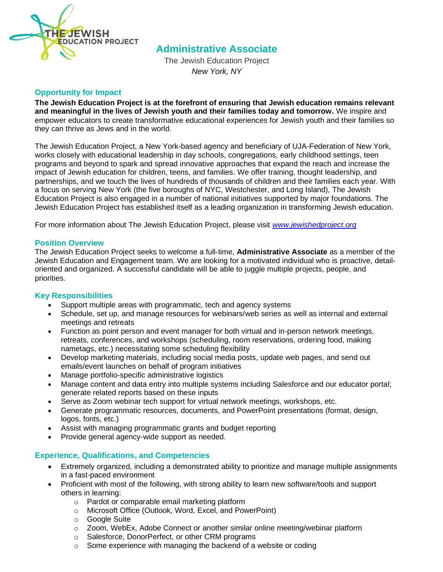

# **Administrative Associate**

The Jewish Education Project *New York, NY*

#### **Opportunity for Impact**

**The Jewish Education Project is at the forefront of ensuring that Jewish education remains relevant and meaningful in the lives of Jewish youth and their families today and tomorrow.** We inspire and empower educators to create transformative educational experiences for Jewish youth and their families so they can thrive as Jews and in the world.

The Jewish Education Project, a New York-based agency and beneficiary of UJA-Federation of New York, works closely with educational leadership in day schools, congregations, early childhood settings, teen programs and beyond to spark and spread innovative approaches that expand the reach and increase the impact of Jewish education for children, teens, and families. We offer training, thought leadership, and partnerships, and we touch the lives of hundreds of thousands of children and their families each year. With a focus on serving New York (the five boroughs of NYC, Westchester, and Long Island), The Jewish Education Project is also engaged in a number of national initiatives supported by major foundations. The Jewish Education Project has established itself as a leading organization in transforming Jewish education.

For more information about The Jewish Education Project, please visit *[www.jewishedproject.org](http://www.jewishedproject.org/)*

#### **Position Overview**

The Jewish Education Project seeks to welcome a full-time, **Administrative Associate** as a member of the Jewish Education and Engagement team. We are looking for a motivated individual who is proactive, detailoriented and organized. A successful candidate will be able to juggle multiple projects, people, and priorities.

#### **Key Responsibilities**

- Support multiple areas with programmatic, tech and agency systems
- Schedule, set up, and manage resources for webinars/web series as well as internal and external meetings and retreats
- Function as point person and event manager for both virtual and in-person network meetings, retreats, conferences, and workshops (scheduling, room reservations, ordering food, making nametags, etc.) necessitating some scheduling flexibility
- Develop marketing materials, including social media posts, update web pages, and send out emails/event launches on behalf of program initiatives
- Manage portfolio-specific administrative logistics
- Manage content and data entry into multiple systems including Salesforce and our educator portal; generate related reports based on these inputs
- Serve as Zoom webinar tech support for virtual network meetings, workshops, etc.
- Generate programmatic resources, documents, and PowerPoint presentations (format, design, logos, fonts, etc.)
- Assist with managing programmatic grants and budget reporting
- Provide general agency-wide support as needed.

## **Experience, Qualifications, and Competencies**

- Extremely organized, including a demonstrated ability to prioritize and manage multiple assignments in a fast-paced environment
- Proficient with most of the following, with strong ability to learn new software/tools and support others in learning:
	- o Pardot or comparable email marketing platform
	- o Microsoft Office (Outlook, Word, Excel, and PowerPoint)
	- o Google Suite
	- $\circ$  Zoom, WebEx, Adobe Connect or another similar online meeting/webinar platform
	- o Salesforce, DonorPerfect, or other CRM programs
	- $\circ$  Some experience with managing the backend of a website or coding